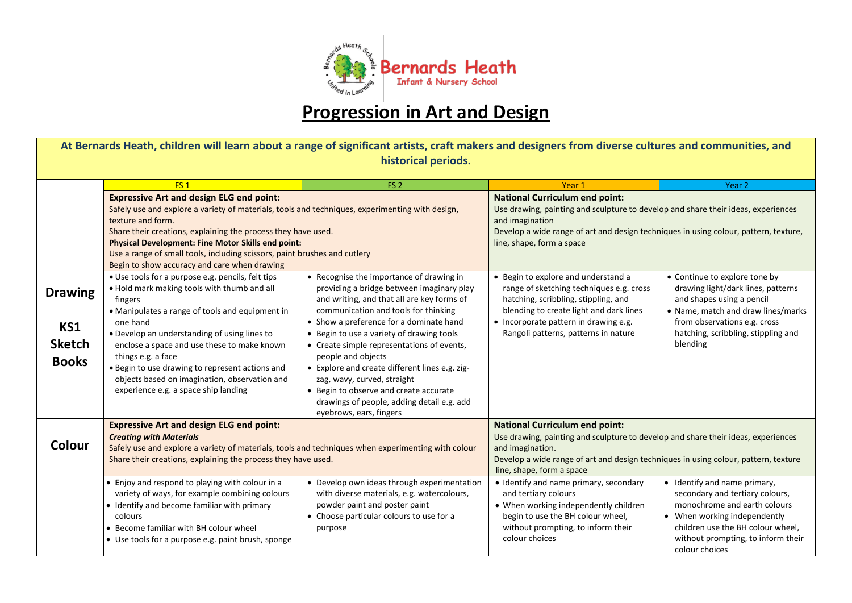

## **Progression in Art and Design**

**At Bernards Heath, children will learn about a range of significant artists, craft makers and designers from diverse cultures and communities, and historical periods.** 

|                                                        | FS <sub>1</sub>                                                                                                                                                                                                                                                                                                                                                                                                                             | FS <sub>2</sub>                                                                                                                                                                                                                                                                                                                                                                                                                                                                                                                             | Year 1                                                                                                                                                                                                                                                             | Year 2                                                                                                                                                                                                                       |
|--------------------------------------------------------|---------------------------------------------------------------------------------------------------------------------------------------------------------------------------------------------------------------------------------------------------------------------------------------------------------------------------------------------------------------------------------------------------------------------------------------------|---------------------------------------------------------------------------------------------------------------------------------------------------------------------------------------------------------------------------------------------------------------------------------------------------------------------------------------------------------------------------------------------------------------------------------------------------------------------------------------------------------------------------------------------|--------------------------------------------------------------------------------------------------------------------------------------------------------------------------------------------------------------------------------------------------------------------|------------------------------------------------------------------------------------------------------------------------------------------------------------------------------------------------------------------------------|
|                                                        | <b>Expressive Art and design ELG end point:</b><br>Safely use and explore a variety of materials, tools and techniques, experimenting with design,<br>texture and form.<br>Share their creations, explaining the process they have used.<br><b>Physical Development: Fine Motor Skills end point:</b><br>Use a range of small tools, including scissors, paint brushes and cutlery<br>Begin to show accuracy and care when drawing          |                                                                                                                                                                                                                                                                                                                                                                                                                                                                                                                                             | <b>National Curriculum end point:</b><br>Use drawing, painting and sculpture to develop and share their ideas, experiences<br>and imagination<br>Develop a wide range of art and design techniques in using colour, pattern, texture,<br>line, shape, form a space |                                                                                                                                                                                                                              |
| <b>Drawing</b><br>KS1<br><b>Sketch</b><br><b>Books</b> | • Use tools for a purpose e.g. pencils, felt tips<br>. Hold mark making tools with thumb and all<br>fingers<br>• Manipulates a range of tools and equipment in<br>one hand<br>• Develop an understanding of using lines to<br>enclose a space and use these to make known<br>things e.g. a face<br>. Begin to use drawing to represent actions and<br>objects based on imagination, observation and<br>experience e.g. a space ship landing | • Recognise the importance of drawing in<br>providing a bridge between imaginary play<br>and writing, and that all are key forms of<br>communication and tools for thinking<br>• Show a preference for a dominate hand<br>• Begin to use a variety of drawing tools<br>• Create simple representations of events,<br>people and objects<br>• Explore and create different lines e.g. zig-<br>zag, wavy, curved, straight<br>• Begin to observe and create accurate<br>drawings of people, adding detail e.g. add<br>eyebrows, ears, fingers | • Begin to explore and understand a<br>range of sketching techniques e.g. cross<br>hatching, scribbling, stippling, and<br>blending to create light and dark lines<br>• Incorporate pattern in drawing e.g.<br>Rangoli patterns, patterns in nature                | • Continue to explore tone by<br>drawing light/dark lines, patterns<br>and shapes using a pencil<br>• Name, match and draw lines/marks<br>from observations e.g. cross<br>hatching, scribbling, stippling and<br>blending    |
| Colour                                                 | <b>Expressive Art and design ELG end point:</b><br><b>Creating with Materials</b><br>Safely use and explore a variety of materials, tools and techniques when experimenting with colour<br>Share their creations, explaining the process they have used.                                                                                                                                                                                    |                                                                                                                                                                                                                                                                                                                                                                                                                                                                                                                                             | <b>National Curriculum end point:</b><br>Use drawing, painting and sculpture to develop and share their ideas, experiences<br>and imagination.<br>Develop a wide range of art and design techniques in using colour, pattern, texture<br>line, shape, form a space |                                                                                                                                                                                                                              |
|                                                        | • Enjoy and respond to playing with colour in a<br>variety of ways, for example combining colours<br>• Identify and become familiar with primary<br>colours<br>• Become familiar with BH colour wheel<br>• Use tools for a purpose e.g. paint brush, sponge                                                                                                                                                                                 | • Develop own ideas through experimentation<br>with diverse materials, e.g. watercolours,<br>powder paint and poster paint<br>• Choose particular colours to use for a<br>purpose                                                                                                                                                                                                                                                                                                                                                           | • Identify and name primary, secondary<br>and tertiary colours<br>• When working independently children<br>begin to use the BH colour wheel,<br>without prompting, to inform their<br>colour choices                                                               | • Identify and name primary,<br>secondary and tertiary colours,<br>monochrome and earth colours<br>• When working independently<br>children use the BH colour wheel,<br>without prompting, to inform their<br>colour choices |